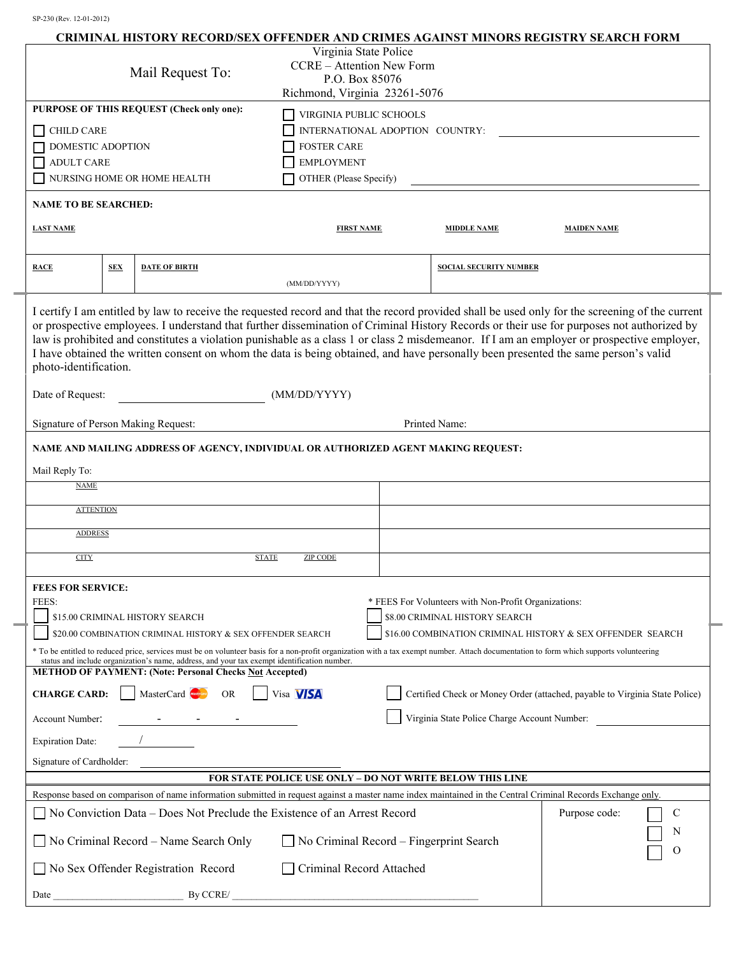|                                                                                                |            |                                                                                                                                                                                                                                                                                                                                                          |                                                            |                                              |                                                      | CRIMINAL HISTORY RECORD/SEX OFFENDER AND CRIMES AGAINST MINORS REGISTRY SEARCH FORM                                                                                                                                                                                                                                                                                                                                                                                                                                                                                              |  |
|------------------------------------------------------------------------------------------------|------------|----------------------------------------------------------------------------------------------------------------------------------------------------------------------------------------------------------------------------------------------------------------------------------------------------------------------------------------------------------|------------------------------------------------------------|----------------------------------------------|------------------------------------------------------|----------------------------------------------------------------------------------------------------------------------------------------------------------------------------------------------------------------------------------------------------------------------------------------------------------------------------------------------------------------------------------------------------------------------------------------------------------------------------------------------------------------------------------------------------------------------------------|--|
|                                                                                                |            |                                                                                                                                                                                                                                                                                                                                                          | Virginia State Police                                      |                                              |                                                      |                                                                                                                                                                                                                                                                                                                                                                                                                                                                                                                                                                                  |  |
| Mail Request To:                                                                               |            |                                                                                                                                                                                                                                                                                                                                                          | <b>CCRE</b> - Attention New Form<br>P.O. Box 85076         |                                              |                                                      |                                                                                                                                                                                                                                                                                                                                                                                                                                                                                                                                                                                  |  |
|                                                                                                |            |                                                                                                                                                                                                                                                                                                                                                          | Richmond, Virginia 23261-5076                              |                                              |                                                      |                                                                                                                                                                                                                                                                                                                                                                                                                                                                                                                                                                                  |  |
|                                                                                                |            | PURPOSE OF THIS REQUEST (Check only one):                                                                                                                                                                                                                                                                                                                | VIRGINIA PUBLIC SCHOOLS                                    |                                              |                                                      |                                                                                                                                                                                                                                                                                                                                                                                                                                                                                                                                                                                  |  |
| $\Box$ CHILD CARE                                                                              |            |                                                                                                                                                                                                                                                                                                                                                          | INTERNATIONAL ADOPTION COUNTRY:                            |                                              |                                                      |                                                                                                                                                                                                                                                                                                                                                                                                                                                                                                                                                                                  |  |
| DOMESTIC ADOPTION                                                                              |            |                                                                                                                                                                                                                                                                                                                                                          | <b>FOSTER CARE</b>                                         |                                              |                                                      |                                                                                                                                                                                                                                                                                                                                                                                                                                                                                                                                                                                  |  |
| <b>ADULT CARE</b>                                                                              |            |                                                                                                                                                                                                                                                                                                                                                          | <b>EMPLOYMENT</b>                                          |                                              |                                                      |                                                                                                                                                                                                                                                                                                                                                                                                                                                                                                                                                                                  |  |
|                                                                                                |            | NURSING HOME OR HOME HEALTH                                                                                                                                                                                                                                                                                                                              | OTHER (Please Specify)                                     |                                              |                                                      |                                                                                                                                                                                                                                                                                                                                                                                                                                                                                                                                                                                  |  |
| <b>NAME TO BE SEARCHED:</b>                                                                    |            |                                                                                                                                                                                                                                                                                                                                                          |                                                            |                                              |                                                      |                                                                                                                                                                                                                                                                                                                                                                                                                                                                                                                                                                                  |  |
| <b>LAST NAME</b>                                                                               |            |                                                                                                                                                                                                                                                                                                                                                          | <b>FIRST NAME</b>                                          |                                              | <b>MIDDLE NAME</b>                                   | <b>MAIDEN NAME</b>                                                                                                                                                                                                                                                                                                                                                                                                                                                                                                                                                               |  |
|                                                                                                |            |                                                                                                                                                                                                                                                                                                                                                          |                                                            |                                              |                                                      |                                                                                                                                                                                                                                                                                                                                                                                                                                                                                                                                                                                  |  |
| <b>RACE</b>                                                                                    | <b>SEX</b> | <b>DATE OF BIRTH</b>                                                                                                                                                                                                                                                                                                                                     |                                                            |                                              | <b>SOCIAL SECURITY NUMBER</b>                        |                                                                                                                                                                                                                                                                                                                                                                                                                                                                                                                                                                                  |  |
|                                                                                                |            |                                                                                                                                                                                                                                                                                                                                                          | (MM/DD/YYYY)                                               |                                              |                                                      |                                                                                                                                                                                                                                                                                                                                                                                                                                                                                                                                                                                  |  |
| photo-identification.                                                                          |            |                                                                                                                                                                                                                                                                                                                                                          |                                                            |                                              |                                                      | I certify I am entitled by law to receive the requested record and that the record provided shall be used only for the screening of the current<br>or prospective employees. I understand that further dissemination of Criminal History Records or their use for purposes not authorized by<br>law is prohibited and constitutes a violation punishable as a class 1 or class 2 misdemeanor. If I am an employer or prospective employer,<br>I have obtained the written consent on whom the data is being obtained, and have personally been presented the same person's valid |  |
| Date of Request:                                                                               |            |                                                                                                                                                                                                                                                                                                                                                          | (MM/DD/YYYY)                                               |                                              |                                                      |                                                                                                                                                                                                                                                                                                                                                                                                                                                                                                                                                                                  |  |
| Signature of Person Making Request:                                                            |            |                                                                                                                                                                                                                                                                                                                                                          | Printed Name:                                              |                                              |                                                      |                                                                                                                                                                                                                                                                                                                                                                                                                                                                                                                                                                                  |  |
|                                                                                                |            | NAME AND MAILING ADDRESS OF AGENCY, INDIVIDUAL OR AUTHORIZED AGENT MAKING REQUEST:                                                                                                                                                                                                                                                                       |                                                            |                                              |                                                      |                                                                                                                                                                                                                                                                                                                                                                                                                                                                                                                                                                                  |  |
|                                                                                                |            |                                                                                                                                                                                                                                                                                                                                                          |                                                            |                                              |                                                      |                                                                                                                                                                                                                                                                                                                                                                                                                                                                                                                                                                                  |  |
| Mail Reply To:                                                                                 |            |                                                                                                                                                                                                                                                                                                                                                          |                                                            |                                              |                                                      |                                                                                                                                                                                                                                                                                                                                                                                                                                                                                                                                                                                  |  |
| <b>NAME</b>                                                                                    |            |                                                                                                                                                                                                                                                                                                                                                          |                                                            |                                              |                                                      |                                                                                                                                                                                                                                                                                                                                                                                                                                                                                                                                                                                  |  |
| <b>ATTENTION</b>                                                                               |            |                                                                                                                                                                                                                                                                                                                                                          |                                                            |                                              |                                                      |                                                                                                                                                                                                                                                                                                                                                                                                                                                                                                                                                                                  |  |
| <b>ADDRESS</b>                                                                                 |            |                                                                                                                                                                                                                                                                                                                                                          |                                                            |                                              |                                                      |                                                                                                                                                                                                                                                                                                                                                                                                                                                                                                                                                                                  |  |
|                                                                                                |            |                                                                                                                                                                                                                                                                                                                                                          |                                                            |                                              |                                                      |                                                                                                                                                                                                                                                                                                                                                                                                                                                                                                                                                                                  |  |
| <b>CITY</b>                                                                                    |            |                                                                                                                                                                                                                                                                                                                                                          | <b>STATE</b><br><b>ZIP CODE</b>                            |                                              |                                                      |                                                                                                                                                                                                                                                                                                                                                                                                                                                                                                                                                                                  |  |
| <b>FEES FOR SERVICE:</b>                                                                       |            |                                                                                                                                                                                                                                                                                                                                                          |                                                            |                                              |                                                      |                                                                                                                                                                                                                                                                                                                                                                                                                                                                                                                                                                                  |  |
| FEES:                                                                                          |            |                                                                                                                                                                                                                                                                                                                                                          |                                                            |                                              | * FEES For Volunteers with Non-Profit Organizations: |                                                                                                                                                                                                                                                                                                                                                                                                                                                                                                                                                                                  |  |
|                                                                                                |            | \$15.00 CRIMINAL HISTORY SEARCH                                                                                                                                                                                                                                                                                                                          | \$8.00 CRIMINAL HISTORY SEARCH                             |                                              |                                                      |                                                                                                                                                                                                                                                                                                                                                                                                                                                                                                                                                                                  |  |
|                                                                                                |            | \$20.00 COMBINATION CRIMINAL HISTORY & SEX OFFENDER SEARCH                                                                                                                                                                                                                                                                                               | \$16.00 COMBINATION CRIMINAL HISTORY & SEX OFFENDER SEARCH |                                              |                                                      |                                                                                                                                                                                                                                                                                                                                                                                                                                                                                                                                                                                  |  |
|                                                                                                |            | * To be entitled to reduced price, services must be on volunteer basis for a non-profit organization with a tax exempt number. Attach documentation to form which supports volunteering<br>status and include organization's name, address, and your tax exempt identification number.<br><b>METHOD OF PAYMENT: (Note: Personal Checks Not Accepted)</b> |                                                            |                                              |                                                      |                                                                                                                                                                                                                                                                                                                                                                                                                                                                                                                                                                                  |  |
| <b>CHARGE CARD:</b>                                                                            |            | MasterCard<br><b>OR</b>                                                                                                                                                                                                                                                                                                                                  | Visa <b>VISA</b>                                           |                                              |                                                      | Certified Check or Money Order (attached, payable to Virginia State Police)                                                                                                                                                                                                                                                                                                                                                                                                                                                                                                      |  |
| Account Number:                                                                                |            |                                                                                                                                                                                                                                                                                                                                                          |                                                            | Virginia State Police Charge Account Number: |                                                      |                                                                                                                                                                                                                                                                                                                                                                                                                                                                                                                                                                                  |  |
| <b>Expiration Date:</b>                                                                        |            |                                                                                                                                                                                                                                                                                                                                                          |                                                            |                                              |                                                      |                                                                                                                                                                                                                                                                                                                                                                                                                                                                                                                                                                                  |  |
| Signature of Cardholder:                                                                       |            |                                                                                                                                                                                                                                                                                                                                                          |                                                            |                                              |                                                      |                                                                                                                                                                                                                                                                                                                                                                                                                                                                                                                                                                                  |  |
|                                                                                                |            |                                                                                                                                                                                                                                                                                                                                                          | FOR STATE POLICE USE ONLY - DO NOT WRITE BELOW THIS LINE   |                                              |                                                      |                                                                                                                                                                                                                                                                                                                                                                                                                                                                                                                                                                                  |  |
|                                                                                                |            | Response based on comparison of name information submitted in request against a master name index maintained in the Central Criminal Records Exchange only.                                                                                                                                                                                              |                                                            |                                              |                                                      |                                                                                                                                                                                                                                                                                                                                                                                                                                                                                                                                                                                  |  |
|                                                                                                |            | No Conviction Data – Does Not Preclude the Existence of an Arrest Record                                                                                                                                                                                                                                                                                 |                                                            |                                              |                                                      | Purpose code:<br>C                                                                                                                                                                                                                                                                                                                                                                                                                                                                                                                                                               |  |
| $\Box$ No Criminal Record – Name Search Only<br>$\Box$ No Criminal Record – Fingerprint Search |            |                                                                                                                                                                                                                                                                                                                                                          |                                                            |                                              |                                                      | N<br>O                                                                                                                                                                                                                                                                                                                                                                                                                                                                                                                                                                           |  |
|                                                                                                |            | No Sex Offender Registration Record                                                                                                                                                                                                                                                                                                                      | Criminal Record Attached                                   |                                              |                                                      |                                                                                                                                                                                                                                                                                                                                                                                                                                                                                                                                                                                  |  |
| Date                                                                                           |            | By CCRE/                                                                                                                                                                                                                                                                                                                                                 |                                                            |                                              |                                                      |                                                                                                                                                                                                                                                                                                                                                                                                                                                                                                                                                                                  |  |